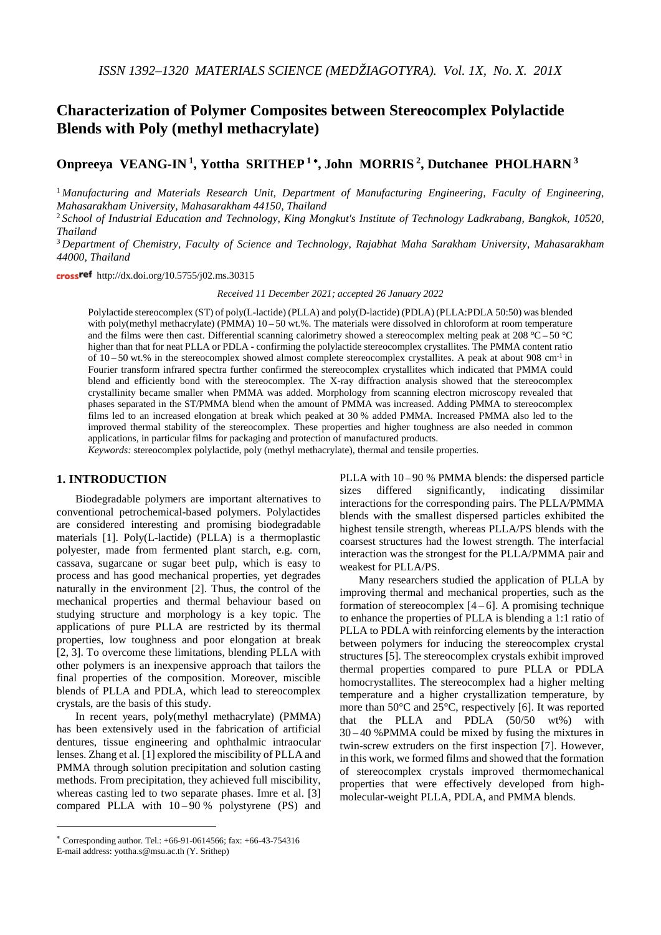# **Characterization of Polymer Composites between Stereocomplex Polylactide Blends with Poly (methyl methacrylate)**

# **Onpreeya VEANG-IN 1, Yottha SRITHEP <sup>1</sup>** <sup>∗</sup>**, John MORRIS 2, Dutchanee PHOLHARN <sup>3</sup>**

<sup>1</sup> *Manufacturing and Materials Research Unit, Department of Manufacturing Engineering, Faculty of Engineering, Mahasarakham University, Mahasarakham 44150, Thailand*

<sup>2</sup> *School of Industrial Education and Technology, King Mongkut's Institute of Technology Ladkrabang, Bangkok, 10520, Thailand*

<sup>3</sup> *Department of Chemistry, Faculty of Science and Technology, Rajabhat Maha Sarakham University, Mahasarakham 44000, Thailand*

cross<sup>ref</sup> http://dx.doi.org/10.5755/j02.ms.30315

*Received 11 December 2021; accepted 26 January 2022*

Polylactide stereocomplex (ST) of poly(L-lactide) (PLLA) and poly(D-lactide) (PDLA) (PLLA:PDLA 50:50) was blended with poly(methyl methacrylate) (PMMA) 10 – 50 wt.%. The materials were dissolved in chloroform at room temperature and the films were then cast. Differential scanning calorimetry showed a stereocomplex melting peak at 208 °C – 50 °C higher than that for neat PLLA or PDLA - confirming the polylactide stereocomplex crystallites. The PMMA content ratio of 10 – 50 wt.% in the stereocomplex showed almost complete stereocomplex crystallites. A peak at about 908 cm-1 in Fourier transform infrared spectra further confirmed the stereocomplex crystallites which indicated that PMMA could blend and efficiently bond with the stereocomplex. The X-ray diffraction analysis showed that the stereocomplex crystallinity became smaller when PMMA was added. Morphology from scanning electron microscopy revealed that phases separated in the ST/PMMA blend when the amount of PMMA was increased. Adding PMMA to stereocomplex films led to an increased elongation at break which peaked at 30 % added PMMA. Increased PMMA also led to the improved thermal stability of the stereocomplex. These properties and higher toughness are also needed in common applications, in particular films for packaging and protection of manufactured products.

*Keywords:* stereocomplex polylactide, poly (methyl methacrylate), thermal and tensile properties.

# **1. INTRODUCTION**[∗](#page-0-0)

Biodegradable polymers are important alternatives to conventional petrochemical-based polymers. Polylactides are considered interesting and promising biodegradable materials [1]. Poly(L-lactide) (PLLA) is a thermoplastic polyester, made from fermented plant starch, e.g. corn, cassava, sugarcane or sugar beet pulp, which is easy to process and has good mechanical properties, yet degrades naturally in the environment [2]. Thus, the control of the mechanical properties and thermal behaviour based on studying structure and morphology is a key topic. The applications of pure PLLA are restricted by its thermal properties, low toughness and poor elongation at break [2, 3]. To overcome these limitations, blending PLLA with other polymers is an inexpensive approach that tailors the final properties of the composition. Moreover, miscible blends of PLLA and PDLA, which lead to stereocomplex crystals, are the basis of this study.

In recent years, poly(methyl methacrylate) (PMMA) has been extensively used in the fabrication of artificial dentures, tissue engineering and ophthalmic intraocular lenses. Zhang et al. [1] explored the miscibility of PLLA and PMMA through solution precipitation and solution casting methods. From precipitation, they achieved full miscibility, whereas casting led to two separate phases. Imre et al. [3] compared PLLA with  $10-90\%$  polystyrene (PS) and

<u>.</u>

PLLA with  $10 - 90$  % PMMA blends: the dispersed particle sizes differed significantly, indicating dissimilar interactions for the corresponding pairs. The PLLA/PMMA blends with the smallest dispersed particles exhibited the highest tensile strength, whereas PLLA/PS blends with the coarsest structures had the lowest strength. The interfacial interaction was the strongest for the PLLA/PMMA pair and weakest for PLLA/PS.

Many researchers studied the application of PLLA by improving thermal and mechanical properties, such as the formation of stereocomplex  $[4-6]$ . A promising technique to enhance the properties of PLLA is blending a 1:1 ratio of PLLA to PDLA with reinforcing elements by the interaction between polymers for inducing the stereocomplex crystal structures [5]. The stereocomplex crystals exhibit improved thermal properties compared to pure PLLA or PDLA homocrystallites. The stereocomplex had a higher melting temperature and a higher crystallization temperature, by more than 50°C and 25°C, respectively [6]. It was reported that the PLLA and PDLA (50/50 wt%) with 30 – 40 %PMMA could be mixed by fusing the mixtures in twin-screw extruders on the first inspection [7]. However, in this work, we formed films and showed that the formation of stereocomplex crystals improved thermomechanical properties that were effectively developed from highmolecular-weight PLLA, PDLA, and PMMA blends.

<span id="page-0-0"></span><sup>∗</sup> Corresponding author. Tel.: +66-91-0614566; fax: +66-43-754316

E-mail address: yottha.s@msu.ac.th (Y. Srithep)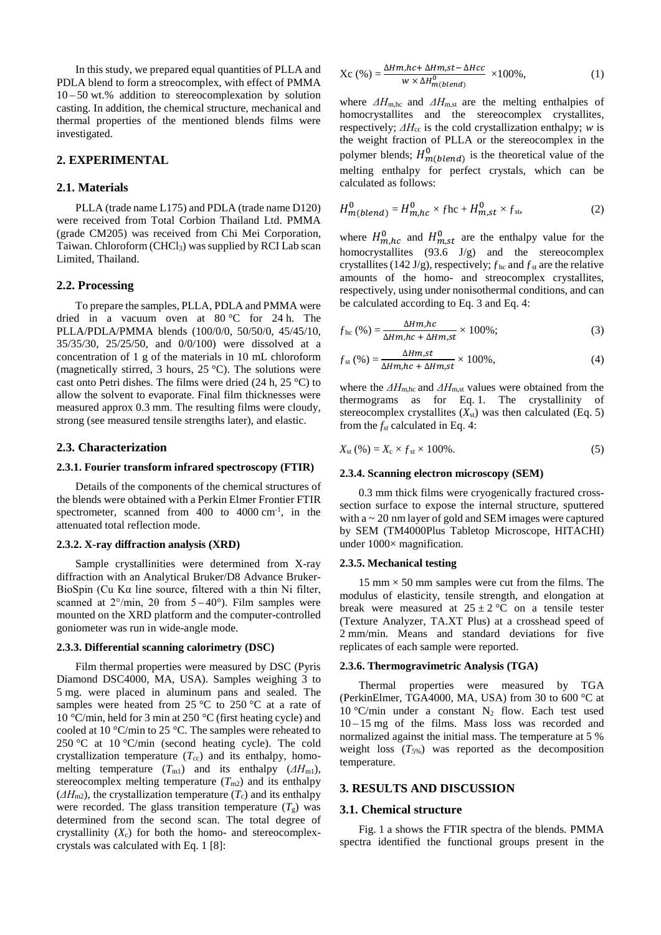In this study, we prepared equal quantities of PLLA and PDLA blend to form a streocomplex, with effect of PMMA 10 – 50 wt.% addition to stereocomplexation by solution casting. In addition, the chemical structure, mechanical and thermal properties of the mentioned blends films were investigated.

# **2. EXPERIMENTAL**

# **2.1. Materials**

PLLA (trade name L175) and PDLA (trade name D120) were received from Total Corbion Thailand Ltd. PMMA (grade CM205) was received from Chi Mei Corporation, Taiwan. Chloroform (CHCl3) was supplied by RCI Lab scan Limited, Thailand.

### **2.2. Processing**

To prepare the samples, PLLA, PDLA and PMMA were dried in a vacuum oven at  $80^{\circ}$ C for 24 h. The PLLA/PDLA/PMMA blends (100/0/0, 50/50/0, 45/45/10, 35/35/30, 25/25/50, and 0/0/100) were dissolved at a concentration of 1 g of the materials in 10 mL chloroform (magnetically stirred, 3 hours,  $25^{\circ}$ C). The solutions were cast onto Petri dishes. The films were dried (24 h, 25 °C) to allow the solvent to evaporate. Final film thicknesses were measured approx 0.3 mm. The resulting films were cloudy, strong (see measured tensile strengths later), and elastic.

### **2.3. Characterization**

### **2.3.1. Fourier transform infrared spectroscopy (FTIR)**

Details of the components of the chemical structures of the blends were obtained with a Perkin Elmer Frontier FTIR spectrometer, scanned from  $400$  to  $4000 \text{ cm}^{-1}$ , in the attenuated total reflection mode.

### **2.3.2. X-ray diffraction analysis (XRD)**

Sample crystallinities were determined from X-ray diffraction with an Analytical Bruker/D8 Advance Bruker-BioSpin (Cu Kα line source, filtered with a thin Ni filter, scanned at  $2^{\circ}/\text{min}$ ,  $2\theta$  from  $5-40^{\circ}$ ). Film samples were mounted on the XRD platform and the computer-controlled goniometer was run in wide-angle mode.

### **2.3.3. Differential scanning calorimetry (DSC)**

Film thermal properties were measured by DSC (Pyris Diamond DSC4000, MA, USA). Samples weighing 3 to 5 mg. were placed in aluminum pans and sealed. The samples were heated from  $25^{\circ}$ C to  $250^{\circ}$ C at a rate of 10 °C/min, held for 3 min at 250 °C (first heating cycle) and cooled at 10 °C/min to 25 °C. The samples were reheated to 250 °C at 10 °C/min (second heating cycle). The cold crystallization temperature  $(T_{cc})$  and its enthalpy, homomelting temperature  $(T_{\text{ml}})$  and its enthalpy  $(\Delta H_{\text{ml}})$ , stereocomplex melting temperature  $(T_{m2})$  and its enthalpy  $(\Delta H_{\text{m2}})$ , the crystallization temperature  $(T_c)$  and its enthalpy were recorded. The glass transition temperature  $(T<sub>g</sub>)$  was determined from the second scan. The total degree of crystallinity  $(X_c)$  for both the homo- and stereocomplexcrystals was calculated with Eq. 1 [8]:

$$
Xc(%) = \frac{\Delta Hm, hc + \Delta Hm, st - \Delta Hcc}{w \times \Delta H_{m(blead)}^0} \times 100\%,
$$
 (1)

where  $\Delta H_{\text{m,hc}}$  and  $\Delta H_{\text{m,st}}$  are the melting enthalpies of homocrystallites and the stereocomplex crystallites, respectively;  $\Delta H_{\rm cc}$  is the cold crystallization enthalpy; *w* is the weight fraction of PLLA or the stereocomplex in the polymer blends;  $H_{m(blend)}^{0}$  is the theoretical value of the melting enthalpy for perfect crystals, which can be calculated as follows:

$$
H_{m(blend)}^0 = H_{m,hc}^0 \times f \text{hc} + H_{m,st}^0 \times f_{\text{st}},\tag{2}
$$

where  $H_{m,hc}^0$  and  $H_{m,st}^0$  are the enthalpy value for the homocrystallites  $(93.6 \text{ J/g})$  and the stereocomplex crystallites (142 J/g), respectively;  $f_{hc}$  and  $f_{st}$  are the relative amounts of the homo- and streocomplex crystallites, respectively, using under nonisothermal conditions, and can be calculated according to Eq. 3 and Eq. 4:

$$
f_{hc} (\%) = \frac{\Delta Hm, hc}{\Delta Hm, hc + \Delta Hm, st} \times 100\%; \tag{3}
$$

$$
f_{\rm st} \left( % \right) = \frac{\Delta H m_{\rm s} t}{\Delta H m_{\rm s} \cdot \Delta H m_{\rm s} t} \times 100\%, \tag{4}
$$

where the  $\Delta H_{\text{m,hc}}$  and  $\Delta H_{\text{m,st}}$  values were obtained from the thermograms as for Eq. 1. The crystallinity of stereocomplex crystallites  $(X_{st})$  was then calculated (Eq. 5) from the *fst* calculated in Eq. 4:

$$
X_{\rm st} \left( \% \right) = X_{\rm c} \times f_{\rm st} \times 100\% \,. \tag{5}
$$

### **2.3.4. Scanning electron microscopy (SEM)**

0.3 mm thick films were cryogenically fractured crosssection surface to expose the internal structure, sputtered with a ~ 20 nm layer of gold and SEM images were captured by SEM (TM4000Plus Tabletop Microscope, HITACHI) under  $1000 \times$  magnification.

### **2.3.5. Mechanical testing**

15 mm  $\times$  50 mm samples were cut from the films. The modulus of elasticity, tensile strength, and elongation at break were measured at  $25 \pm 2$  °C on a tensile tester (Texture Analyzer, TA.XT Plus) at a crosshead speed of 2 mm/min. Means and standard deviations for five replicates of each sample were reported.

### **2.3.6. Thermogravimetric Analysis (TGA)**

Thermal properties were measured by TGA (PerkinElmer, TGA4000, MA, USA) from 30 to 600 °C at  $10 °C/min$  under a constant N<sub>2</sub> flow. Each test used 10 – 15 mg of the films. Mass loss was recorded and normalized against the initial mass. The temperature at 5 % weight loss  $(T_{5\%})$  was reported as the decomposition temperature.

### **3. RESULTS AND DISCUSSION**

#### **3.1. Chemical structure**

Fig. 1 a shows the FTIR spectra of the blends. PMMA spectra identified the functional groups present in the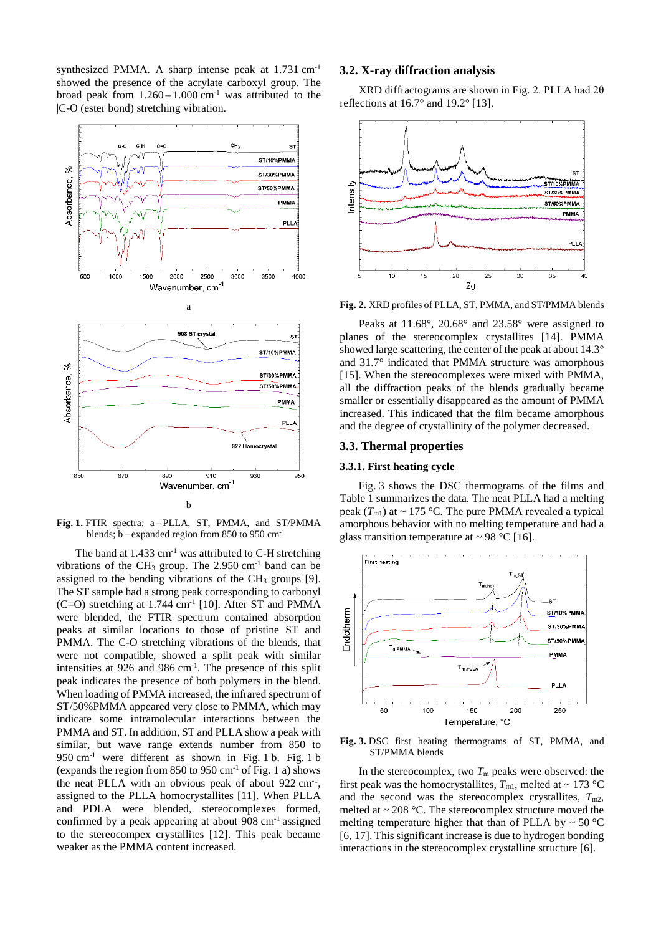synthesized PMMA. A sharp intense peak at 1.731 cm-1 showed the presence of the acrylate carboxyl group. The broad peak from  $1.260 - 1.000$  cm<sup>-1</sup> was attributed to the |C-O (ester bond) stretching vibration.



**Fig. 1.** FTIR spectra: a – PLLA, ST, PMMA, and ST/PMMA blends;  $b$  – expanded region from 850 to 950 cm<sup>-1</sup>

The band at  $1.433 \text{ cm}^{-1}$  was attributed to C-H stretching vibrations of the CH<sub>3</sub> group. The  $2.950 \text{ cm}^{-1}$  band can be assigned to the bending vibrations of the  $CH<sub>3</sub>$  groups [9]. The ST sample had a strong peak corresponding to carbonyl  $(C=O)$  stretching at 1.744 cm<sup>-1</sup> [10]. After ST and PMMA were blended, the FTIR spectrum contained absorption peaks at similar locations to those of pristine ST and PMMA. The C-O stretching vibrations of the blends, that were not compatible, showed a split peak with similar intensities at 926 and 986 cm<sup>-1</sup>. The presence of this split peak indicates the presence of both polymers in the blend. When loading of PMMA increased, the infrared spectrum of ST/50%PMMA appeared very close to PMMA, which may indicate some intramolecular interactions between the PMMA and ST. In addition, ST and PLLA show a peak with similar, but wave range extends number from 850 to  $950 \text{ cm}^{-1}$  were different as shown in Fig. 1 b. Fig. 1 b (expands the region from  $850$  to  $950$  cm<sup>-1</sup> of Fig. 1 a) shows the neat PLLA with an obvious peak of about 922 cm<sup>-1</sup>, assigned to the PLLA homocrystallites [11]. When PLLA and PDLA were blended, stereocomplexes formed, confirmed by a peak appearing at about 908 cm-1 assigned to the stereocompex crystallites [12]. This peak became weaker as the PMMA content increased.

# **3.2. X-ray diffraction analysis**

XRD diffractograms are shown in Fig. 2. PLLA had 2θ reflections at  $16.7^\circ$  and  $19.2^\circ$  [13].





Peaks at 11.68°, 20.68° and 23.58° were assigned to planes of the stereocomplex crystallites [14]. PMMA showed large scattering, the center of the peak at about 14.3° and 31.7° indicated that PMMA structure was amorphous [15]. When the stereocomplexes were mixed with PMMA, all the diffraction peaks of the blends gradually became smaller or essentially disappeared as the amount of PMMA increased. This indicated that the film became amorphous and the degree of crystallinity of the polymer decreased.

# **3.3. Thermal properties**

### **3.3.1. First heating cycle**

Fig. 3 shows the DSC thermograms of the films and Table 1 summarizes the data. The neat PLLA had a melting peak  $(T_{\text{ml}})$  at ~ 175 °C. The pure PMMA revealed a typical amorphous behavior with no melting temperature and had a glass transition temperature at  $\sim$  98 °C [16].



**Fig. 3.** DSC first heating thermograms of ST, PMMA, and ST/PMMA blends

In the stereocomplex, two  $T<sub>m</sub>$  peaks were observed: the first peak was the homocrystallites,  $T_{\text{ml}}$ , melted at  $\sim 173$  °C and the second was the stereocomplex crystallites,  $T_{m2}$ , melted at  $\sim$  208 °C. The stereocomplex structure moved the melting temperature higher that than of PLLA by  $\sim$  50 °C [6, 17]. This significant increase is due to hydrogen bonding interactions in the stereocomplex crystalline structure [6].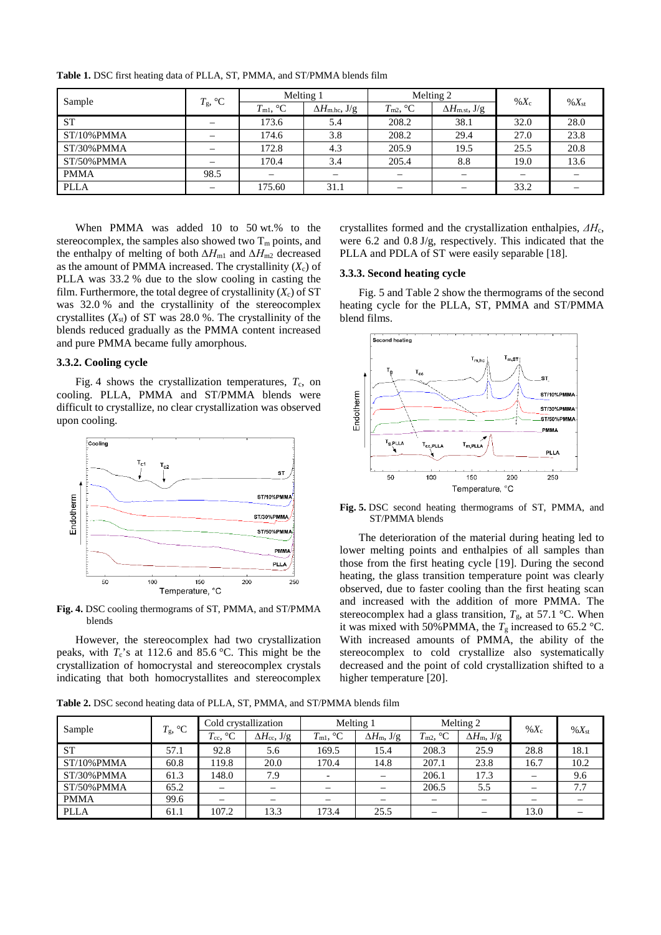| Sample         | $T_{\rm g}$ , °C         | Melting 1                |                                | Melting 2         |                            | $\%X_c$                  |            |
|----------------|--------------------------|--------------------------|--------------------------------|-------------------|----------------------------|--------------------------|------------|
|                |                          | $T_{\rm ml}$ , °C        | $\Delta H_{\text{m.hc}}$ , J/g | $T_{\rm m2}$ , °C | $\Delta H_{\rm m.st.}$ J/g |                          | $\%X_{st}$ |
| <b>ST</b>      |                          | 173.6                    | 5.4                            | 208.2             | 38.1                       | 32.0                     | 28.0       |
| $ST/10\%$ PMMA |                          | 174.6                    | 3.8                            | 208.2             | 29.4                       | 27.0                     | 23.8       |
| $ST/30\%$ PMMA |                          | 172.8                    | 4.3                            | 205.9             | 19.5                       | 25.5                     | 20.8       |
| $ST/50\%$ PMMA | —                        | 170.4                    | 3.4                            | 205.4             | 8.8                        | 19.0                     | 13.6       |
| <b>PMMA</b>    | 98.5                     | $\overline{\phantom{0}}$ | -                              |                   | $\overline{\phantom{m}}$   | $\overline{\phantom{0}}$ |            |
| <b>PLLA</b>    | $\overline{\phantom{0}}$ | 175.60                   | 31.1                           |                   |                            | 33.2                     |            |

**Table 1.** DSC first heating data of PLLA, ST, PMMA, and ST/PMMA blends film

When PMMA was added 10 to 50 wt.% to the stereocomplex, the samples also showed two  $T_m$  points, and the enthalpy of melting of both  $\Delta H_{\text{m1}}$  and  $\Delta H_{\text{m2}}$  decreased as the amount of PMMA increased. The crystallinity  $(X_c)$  of PLLA was 33.2 % due to the slow cooling in casting the film. Furthermore, the total degree of crystallinity  $(X_c)$  of ST was 32.0 % and the crystallinity of the stereocomplex crystallites  $(X_{st})$  of ST was 28.0 %. The crystallinity of the blends reduced gradually as the PMMA content increased and pure PMMA became fully amorphous.

# **3.3.2. Cooling cycle**

Fig. 4 shows the crystallization temperatures,  $T_c$ , on cooling. PLLA, PMMA and ST/PMMA blends were difficult to crystallize, no clear crystallization was observed upon cooling.



**Fig. 4.** DSC cooling thermograms of ST, PMMA, and ST/PMMA blends

However, the stereocomplex had two crystallization peaks, with  $T_c$ 's at 112.6 and 85.6 °C. This might be the crystallization of homocrystal and stereocomplex crystals indicating that both homocrystallites and stereocomplex

crystallites formed and the crystallization enthalpies, *ΔH*c, were 6.2 and 0.8 J/g, respectively. This indicated that the PLLA and PDLA of ST were easily separable [18].

# **3.3.3. Second heating cycle**

Fig. 5 and Table 2 show the thermograms of the second heating cycle for the PLLA, ST, PMMA and ST/PMMA blend films.



**Fig. 5.** DSC second heating thermograms of ST, PMMA, and ST/PMMA blends

The deterioration of the material during heating led to lower melting points and enthalpies of all samples than those from the first heating cycle [19]. During the second heating, the glass transition temperature point was clearly observed, due to faster cooling than the first heating scan and increased with the addition of more PMMA. The stereocomplex had a glass transition,  $T_g$ , at 57.1 °C. When it was mixed with 50%PMMA, the  $T_g$  increased to 65.2 °C. With increased amounts of PMMA, the ability of the stereocomplex to cold crystallize also systematically decreased and the point of cold crystallization shifted to a higher temperature [20].

**Table 2.** DSC second heating data of PLLA, ST, PMMA, and ST/PMMA blends film

| Sample         | $T_{\rm g}$ , °C | Cold crystallization     |                                | Melting 1         |                          | Melting 2                         |                             |                          |                |
|----------------|------------------|--------------------------|--------------------------------|-------------------|--------------------------|-----------------------------------|-----------------------------|--------------------------|----------------|
|                |                  | $T_{\rm cc}$ , °C        | $\Delta H_{\text{cc}}$ , $J/g$ | $T_{\rm ml}$ , °C | $\Delta H_{\rm m}$ , J/g | $T_{\rm m2}$ ,<br>$\rm ^{\circ}C$ | $\Delta H_{\text{m}}$ , J/g | % $X_c$                  | $\%X_{\rm st}$ |
| <b>ST</b>      | 57.1             | 92.8                     | 5.6                            | 169.5             | 15.4                     | 208.3                             | 25.9                        | 28.8                     | 18.1           |
| $ST/10\%$ PMMA | 60.8             | 119.8                    | 20.0                           | 170.4             | 14.8                     | 207.1                             | 23.8                        | 16.7                     | 10.2           |
| ST/30%PMMA     | 61.3             | 148.0                    | 7.9                            |                   |                          | 206.1                             | 17.3                        | —                        | 9.6            |
| ST/50%PMMA     | 65.2             | $\overline{\phantom{m}}$ |                                |                   |                          | 206.5                             | 5.5                         | $\overline{\phantom{0}}$ | 7.7            |
| <b>PMMA</b>    | 99.6             |                          |                                |                   |                          |                                   |                             |                          |                |
| <b>PLLA</b>    | 61.1             | 107.2                    | 13.3                           | 173.4             | 25.5                     |                                   |                             | 13.0                     |                |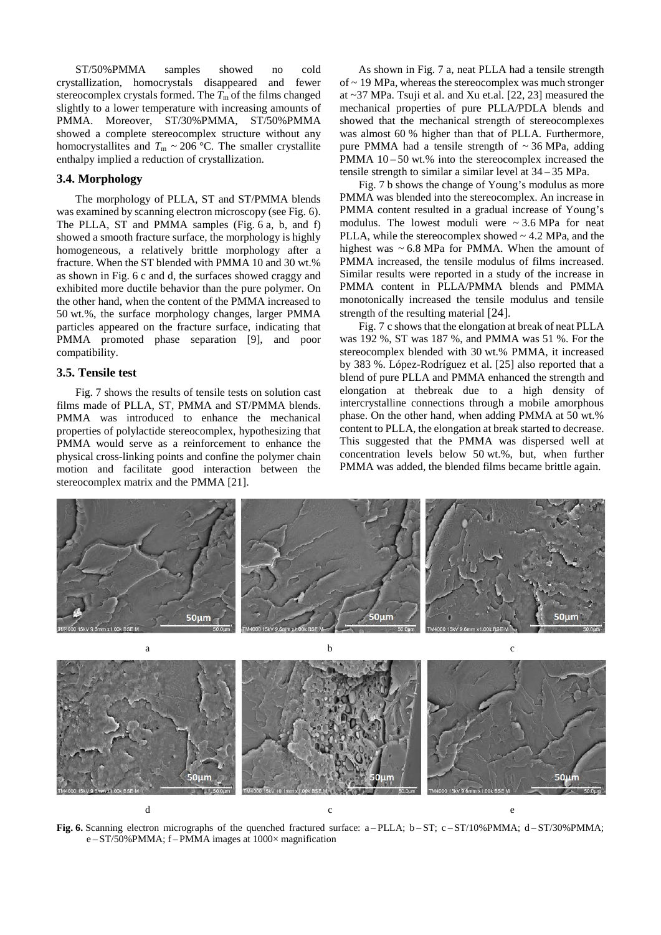ST/50%PMMA samples showed no cold crystallization, homocrystals disappeared and fewer stereocomplex crystals formed. The  $T<sub>m</sub>$  of the films changed slightly to a lower temperature with increasing amounts of PMMA. Moreover, ST/30%PMMA, ST/50%PMMA showed a complete stereocomplex structure without any homocrystallites and  $T_m \sim 206$  °C. The smaller crystallite enthalpy implied a reduction of crystallization.

# **3.4. Morphology**

The morphology of PLLA, ST and ST/PMMA blends was examined by scanning electron microscopy (see Fig. 6). The PLLA, ST and PMMA samples (Fig. 6 a, b, and f) showed a smooth fracture surface, the morphology is highly homogeneous, a relatively brittle morphology after a fracture. When the ST blended with PMMA 10 and 30 wt.% as shown in Fig. 6 c and d, the surfaces showed craggy and exhibited more ductile behavior than the pure polymer. On the other hand, when the content of the PMMA increased to 50 wt.%, the surface morphology changes, larger PMMA particles appeared on the fracture surface, indicating that PMMA promoted phase separation [9], and poor compatibility.

# **3.5. Tensile test**

Fig. 7 shows the results of tensile tests on solution cast films made of PLLA, ST, PMMA and ST/PMMA blends. PMMA was introduced to enhance the mechanical properties of polylactide stereocomplex, hypothesizing that PMMA would serve as a reinforcement to enhance the physical cross-linking points and confine the polymer chain motion and facilitate good interaction between the stereocomplex matrix and the PMMA [21].

As shown in Fig. 7 a, neat PLLA had a tensile strength of  $\sim$  19 MPa, whereas the stereocomplex was much stronger at ~37 MPa. Tsuji et al. and Xu et.al. [22, 23] measured the mechanical properties of pure PLLA/PDLA blends and showed that the mechanical strength of stereocomplexes was almost 60 % higher than that of PLLA. Furthermore, pure PMMA had a tensile strength of  $\sim$  36 MPa, adding PMMA  $10 - 50$  wt.% into the stereocomplex increased the tensile strength to similar a similar level at 34 – 35 MPa.

Fig. 7 b shows the change of Young's modulus as more PMMA was blended into the stereocomplex. An increase in PMMA content resulted in a gradual increase of Young's modulus. The lowest moduli were  $\sim$  3.6 MPa for neat PLLA, while the stereocomplex showed  $\sim$  4.2 MPa, and the highest was  $\sim 6.8$  MPa for PMMA. When the amount of PMMA increased, the tensile modulus of films increased. Similar results were reported in a study of the increase in PMMA content in PLLA/PMMA blends and PMMA monotonically increased the tensile modulus and tensile strength of the resulting material [24].

Fig. 7 c shows that the elongation at break of neat PLLA was 192 %, ST was 187 %, and PMMA was 51 %. For the stereocomplex blended with 30 wt.% PMMA, it increased by 383 %. López-Rodríguez et al. [25] also reported that a blend of pure PLLA and PMMA enhanced the strength and elongation at thebreak due to a high density of intercrystalline connections through a mobile amorphous phase. On the other hand, when adding PMMA at 50 wt.% content to PLLA, the elongation at break started to decrease. This suggested that the PMMA was dispersed well at concentration levels below 50 wt.%, but, when further PMMA was added, the blended films became brittle again.



**Fig.** 6. Scanning electron micrographs of the quenched fractured surface: a-PLLA; b-ST; c-ST/10%PMMA; d-ST/30%PMMA; e – ST/50%PMMA; f – PMMA images at 1000× magnification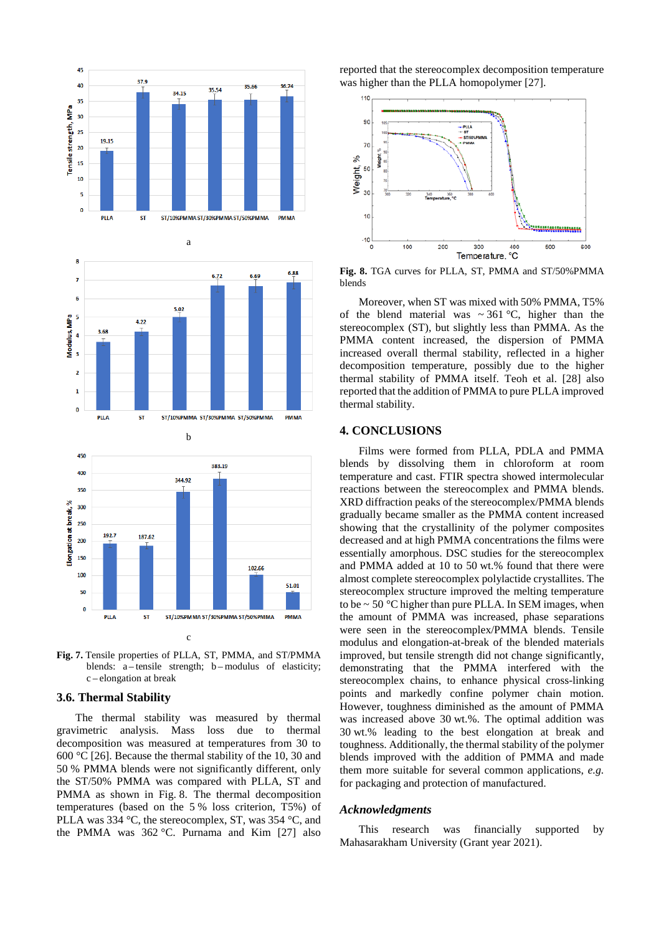

**Fig. 7.** Tensile properties of PLLA, ST, PMMA, and ST/PMMA blends: a – tensile strength; b – modulus of elasticity; c – elongation at break

# **3.6. Thermal Stability**

The thermal stability was measured by thermal gravimetric analysis. Mass loss due to thermal decomposition was measured at temperatures from 30 to 600 °C [26]. Because the thermal stability of the 10, 30 and 50 % PMMA blends were not significantly different, only the ST/50% PMMA was compared with PLLA, ST and PMMA as shown in Fig. 8. The thermal decomposition temperatures (based on the 5 % loss criterion, T5%) of PLLA was 334 °C, the stereocomplex, ST, was 354 °C, and the PMMA was 362 °C. Purnama and Kim [27] also reported that the stereocomplex decomposition temperature was higher than the PLLA homopolymer [27].



**Fig. 8.** TGA curves for PLLA, ST, PMMA and ST/50%PMMA blends

Moreover, when ST was mixed with 50% PMMA, T5% of the blend material was  $\sim$  361 °C, higher than the stereocomplex (ST), but slightly less than PMMA. As the PMMA content increased, the dispersion of PMMA increased overall thermal stability, reflected in a higher decomposition temperature, possibly due to the higher thermal stability of PMMA itself. Teoh et al. [28] also reported that the addition of PMMA to pure PLLA improved thermal stability.

# **4. CONCLUSIONS**

Films were formed from PLLA, PDLA and PMMA blends by dissolving them in chloroform at room temperature and cast. FTIR spectra showed intermolecular reactions between the stereocomplex and PMMA blends. XRD diffraction peaks of the stereocomplex/PMMA blends gradually became smaller as the PMMA content increased showing that the crystallinity of the polymer composites decreased and at high PMMA concentrations the films were essentially amorphous. DSC studies for the stereocomplex and PMMA added at 10 to 50 wt.% found that there were almost complete stereocomplex polylactide crystallites. The stereocomplex structure improved the melting temperature to be  $\sim$  50 °C higher than pure PLLA. In SEM images, when the amount of PMMA was increased, phase separations were seen in the stereocomplex/PMMA blends. Tensile modulus and elongation-at-break of the blended materials improved, but tensile strength did not change significantly, demonstrating that the PMMA interfered with the stereocomplex chains, to enhance physical cross-linking points and markedly confine polymer chain motion. However, toughness diminished as the amount of PMMA was increased above 30 wt.%. The optimal addition was 30 wt.% leading to the best elongation at break and toughness. Additionally, the thermal stability of the polymer blends improved with the addition of PMMA and made them more suitable for several common applications, *e.g.* for packaging and protection of manufactured.

### *Acknowledgments*

This research was financially supported by Mahasarakham University (Grant year 2021).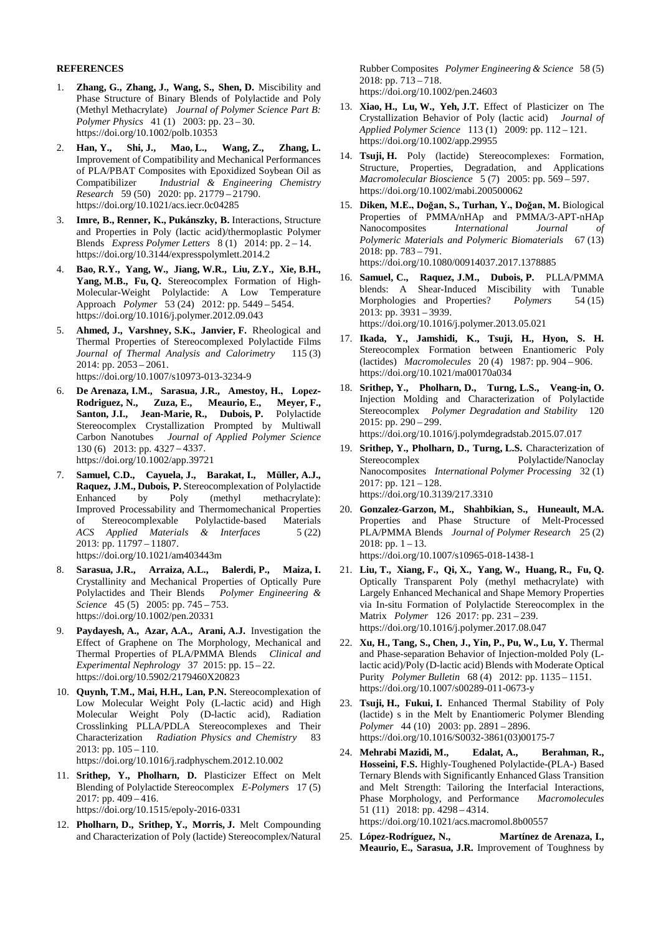# **REFERENCES**

- 1. **Zhang, G., Zhang, J., Wang, S., Shen, D.** Miscibility and Phase Structure of Binary Blends of Polylactide and Poly (Methyl Methacrylate) *Journal of Polymer Science Part B: Polymer Physics* 41 (1) 2003: pp. 23 – 30. https://doi.org/10.1002/polb.10353
- 2. **Han, Y., Shi, J., Mao, L., Wang, Z., Zhang, L.** Improvement of Compatibility and Mechanical Performances of PLA/PBAT Composites with Epoxidized Soybean Oil as Compatibilizer *Industrial & Engineering Chemistry Research* 59 (50) 2020: pp. 21779 – 21790. <https://doi.org/10.1021/acs.iecr.0c04285>
- 3. **Imre, B., Renner, K., Pukánszky, B.** Interactions, Structure and Properties in Poly (lactic acid)/thermoplastic Polymer Blends *Express Polymer Letters* 8 (1) 2014: pp. 2 – 14. <https://doi.org/10.3144/expresspolymlett.2014.2>
- 4. **Bao, R.Y., Yang, W., Jiang, W.R., Liu, Z.Y., Xie, B.H., Yang, M.B., Fu, Q.** Stereocomplex Formation of High-Molecular-Weight Polylactide: A Low Temperature Approach *Polymer* 53 (24) 2012: pp. 5449 – 5454. <https://doi.org/10.1016/j.polymer.2012.09.043>
- 5. **Ahmed, J., Varshney, S.K., Janvier, F.** Rheological and Thermal Properties of Stereocomplexed Polylactide Films *Journal of Thermal Analysis and Calorimetry* 115 (3) 2014: pp. 2053 – 2061. <https://doi.org/10.1007/s10973-013-3234-9>
- 6. **De Arenaza, I.M., Sarasua, J.R., Amestoy, H., Lopez‐ Rodriguez, N., Zuza, E., Meaurio, E., Meyer, F., Santon, J.I., Jean-Marie, R., Dubois, P.** Polylactide Stereocomplex Crystallization Prompted by Multiwall Carbon Nanotubes *Journal of Applied Polymer Science* 130 (6) 2013: pp. 4327 – 4337. <https://doi.org/10.1002/app.39721>
- 7. **Samuel, C.D., Cayuela, J., Barakat, I., Müller, A.J., Raquez, J.M., Dubois, P.** Stereocomplexation of Polylactide Enhanced by Poly (methyl methacrylate): Improved Processability and Thermomechanical Properties of Stereocomplexable Polylactide-based Materials *ACS Applied Materials & Interfaces* 5 (22) 2013: pp. 11797 – 11807. https://doi.org/10.1021/am403443m
- 8. **Sarasua, J.R., Arraiza, A.L., Balerdi, P., Maiza, I.** Crystallinity and Mechanical Properties of Optically Pure Polylactides and Their Blends *Polymer Engineering & Science* 45 (5) 2005: pp. 745 – 753. <https://doi.org/10.1002/pen.20331>
- 9. **Paydayesh, A., Azar, A.A., Arani, A.J.** Investigation the Effect of Graphene on The Morphology, Mechanical and Thermal Properties of PLA/PMMA Blends *Clinical and Experimental Nephrology* 37 2015: pp. 15 – 22. https://doi.org/10.5902/2179460X20823
- 10. **Quynh, T.M., Mai, H.H., Lan, P.N.** Stereocomplexation of Low Molecular Weight Poly (L-lactic acid) and High Molecular Weight Poly (D-lactic acid), Radiation Crosslinking PLLA/PDLA Stereocomplexes and Their Characterization *Radiation Physics and Chemistry* 83 2013: pp. 105 – 110.

<https://doi.org/10.1016/j.radphyschem.2012.10.002>

- 11. **Srithep, Y., Pholharn, D.** Plasticizer Effect on Melt Blending of Polylactide Stereocomplex *E-Polymers* 17 (5) 2017: pp. 409 – 416. https://doi.org/10.1515/epoly-2016-0331
- 12. **Pholharn, D., Srithep, Y., Morris, J.** Melt Compounding and Characterization of Poly (lactide) Stereocomplex/Natural

Rubber Composites *Polymer Engineering & Science* 58 (5) 2018: pp. 713 – 718.

- <https://doi.org/10.1002/pen.24603>
- 13. **Xiao, H., Lu, W., Yeh, J.T.** Effect of Plasticizer on The Crystallization Behavior of Poly (lactic acid) *Journal of Applied Polymer Science* 113 (1) 2009: pp. 112 – 121. https://doi.org/10.1002/app.29955
- 14. **Tsuji, H.** Poly (lactide) Stereocomplexes: Formation, Structure, Properties, Degradation, and Applications *Macromolecular Bioscience* 5 (7) 2005: pp. 569 – 597. <https://doi.org/10.1002/mabi.200500062>
- 15. **Diken, M.E., Doğan, S., Turhan, Y., Doğan, M.** Biological Properties of PMMA/nHAp and PMMA/3-APT-nHAp<br>Nanocomposites International Journal of Nanocomposites *International Journal of Polymeric Materials and Polymeric Biomaterials* 67 (13) 2018: pp. 783 – 791. <https://doi.org/10.1080/00914037.2017.1378885>
- 16. **Samuel, C., Raquez, J.M., Dubois, P.** PLLA/PMMA blends: A Shear-Induced Miscibility with Tunable Morphologies and Properties? *Polymers* 54 (15) 2013: pp. 3931 – 3939. https://doi.org/10.1016/j.polymer.2013.05.021
- 17. **Ikada, Y., Jamshidi, K., Tsuji, H., Hyon, S. H.** Stereocomplex Formation between Enantiomeric Poly (lactides) *Macromolecules* 20 (4) 1987: pp. 904 – 906. https://doi.org/10.1021/ma00170a034
- 18. **Srithep, Y., Pholharn, D., Turng, L.S., Veang-in, O.** Injection Molding and Characterization of Polylactide Stereocomplex *Polymer Degradation and Stability* 120 2015: pp. 290 – 299. <https://doi.org/10.1016/j.polymdegradstab.2015.07.017>
- 19. **Srithep, Y., Pholharn, D., Turng, L.S.** Characterization of Stereocomplex Polylactide/Nanoclay Nanocomposites *International Polymer Processing* 32 (1) 2017: pp. 121 – 128. https://doi.org/10.3139/217.3310
- 20. **Gonzalez-Garzon, M., Shahbikian, S., Huneault, M.A.** Properties and Phase Structure of Melt-Processed PLA/PMMA Blends *Journal of Polymer Research* 25 (2) 2018: pp.  $1 - 13$ . <https://doi.org/10.1007/s10965-018-1438-1>
- 21. **Liu, T., Xiang, F., Qi, X., Yang, W., Huang, R., Fu, Q.** Optically Transparent Poly (methyl methacrylate) with Largely Enhanced Mechanical and Shape Memory Properties via In-situ Formation of Polylactide Stereocomplex in the Matrix *Polymer* 126 2017: pp. 231 – 239. https://doi.org/10.1016/j.polymer.2017.08.047
- 22. **Xu, H., Tang, S., Chen, J., Yin, P., Pu, W., Lu, Y.** Thermal and Phase-separation Behavior of Injection-molded Poly (Llactic acid)/Poly (D-lactic acid) Blends with Moderate Optical Purity *Polymer Bulletin* 68 (4) 2012: pp. 1135 – 1151. <https://doi.org/10.1007/s00289-011-0673-y>
- 23. **Tsuji, H., Fukui, I.** Enhanced Thermal Stability of Poly (lactide) s in the Melt by Enantiomeric Polymer Blending *Polymer* 44 (10) 2003: pp. 2891 – 2896. https://doi.org/10.1016/S0032-3861(03)00175-7
- 24. **Mehrabi Mazidi, M., Edalat, A., Berahman, R., Hosseini, F.S.** Highly-Toughened Polylactide-(PLA-) Based Ternary Blends with Significantly Enhanced Glass Transition and Melt Strength: Tailoring the Interfacial Interactions, Phase Morphology, and Performance *Macromolecules* 51 (11) 2018: pp. 4298 – 4314. https://doi.org/10.1021/acs.macromol.8b00557
- 25. **López-Rodríguez, N., Martínez de Arenaza, I., Meaurio, E., Sarasua, J.R.** Improvement of Toughness by